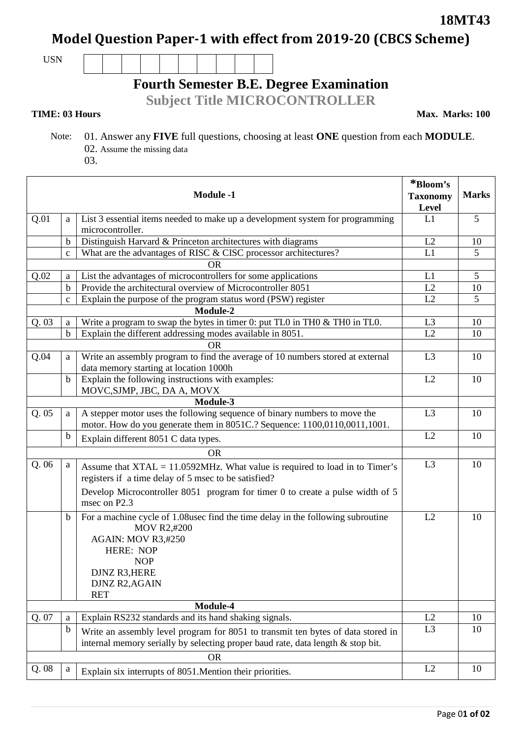**18MT43**

**Model Question Paper-1 with effect from 2019-20 (CBCS Scheme)**

USN

## **Fourth Semester B.E. Degree Examination**

**Subject Title MICROCONTROLLER**

## **TIME: 03 Hours**

**Max. Marks: 100**

- Note: 01. Answer any **FIVE** full questions, choosing at least **ONE** question from each **MODULE**. 02. Assume the missing data
	- 03.

| <b>Module -1</b> |                                                                                    |                                                                                                                                                                                                                              | *Bloom's<br><b>Taxonomy</b><br>Level | <b>Marks</b> |  |
|------------------|------------------------------------------------------------------------------------|------------------------------------------------------------------------------------------------------------------------------------------------------------------------------------------------------------------------------|--------------------------------------|--------------|--|
| Q.01             | List 3 essential items needed to make up a development system for programming<br>a |                                                                                                                                                                                                                              | L1                                   | 5            |  |
|                  | microcontroller.                                                                   |                                                                                                                                                                                                                              |                                      |              |  |
|                  | b                                                                                  | Distinguish Harvard & Princeton architectures with diagrams                                                                                                                                                                  | L2                                   | 10           |  |
|                  | What are the advantages of RISC & CISC processor architectures?<br>$\mathbf c$     |                                                                                                                                                                                                                              | L1                                   | 5            |  |
| <b>OR</b>        |                                                                                    |                                                                                                                                                                                                                              |                                      |              |  |
| Q.02             | List the advantages of microcontrollers for some applications<br>a                 |                                                                                                                                                                                                                              | L1                                   | 5            |  |
|                  | $\mathbf b$                                                                        | Provide the architectural overview of Microcontroller 8051                                                                                                                                                                   | L2                                   | 10           |  |
|                  | Explain the purpose of the program status word (PSW) register<br>$\mathbf{C}$      |                                                                                                                                                                                                                              | L2                                   | 5            |  |
|                  |                                                                                    | Module-2                                                                                                                                                                                                                     |                                      |              |  |
| Q.03             | a                                                                                  | Write a program to swap the bytes in timer 0: put $TLO$ in $THO \& THO$ in $TLO$ .                                                                                                                                           | L <sub>3</sub>                       | 10           |  |
|                  | $\mathbf b$                                                                        | Explain the different addressing modes available in 8051.                                                                                                                                                                    | L2                                   | 10           |  |
|                  |                                                                                    | <b>OR</b>                                                                                                                                                                                                                    |                                      |              |  |
| Q.04             | a                                                                                  | Write an assembly program to find the average of 10 numbers stored at external<br>data memory starting at location 1000h                                                                                                     | L <sub>3</sub>                       | 10           |  |
|                  | $\mathbf b$                                                                        | Explain the following instructions with examples:<br>MOVC, SJMP, JBC, DA A, MOVX                                                                                                                                             | L2                                   | 10           |  |
|                  |                                                                                    |                                                                                                                                                                                                                              |                                      |              |  |
| Module-3         |                                                                                    |                                                                                                                                                                                                                              |                                      |              |  |
| Q.05             | a                                                                                  | A stepper motor uses the following sequence of binary numbers to move the<br>motor. How do you generate them in 8051C.? Sequence: 1100,0110,0011,1001.                                                                       | L <sub>3</sub>                       | 10           |  |
|                  | $\mathbf b$                                                                        | Explain different 8051 C data types.                                                                                                                                                                                         | L2                                   | 10           |  |
|                  |                                                                                    | <b>OR</b>                                                                                                                                                                                                                    |                                      |              |  |
| Q. 06            | a                                                                                  | Assume that $XTAL = 11.0592MHz$ . What value is required to load in to Timer's<br>registers if a time delay of 5 msec to be satisfied?                                                                                       | L <sub>3</sub>                       | 10           |  |
|                  |                                                                                    | Develop Microcontroller 8051 program for timer 0 to create a pulse width of 5<br>msec on P2.3                                                                                                                                |                                      |              |  |
|                  | $\mathbf b$                                                                        | For a machine cycle of 1.08usec find the time delay in the following subroutine<br><b>MOV R2,#200</b><br><b>AGAIN: MOV R3,#250</b><br><b>HERE: NOP</b><br><b>NOP</b><br>DJNZ R3, HERE<br><b>DJNZ R2, AGAIN</b><br><b>RET</b> | L2                                   | 10           |  |
|                  |                                                                                    | Module-4                                                                                                                                                                                                                     |                                      |              |  |
| Q. 07            | a                                                                                  | Explain RS232 standards and its hand shaking signals.                                                                                                                                                                        | L2                                   | 10           |  |
|                  | $\mathbf b$                                                                        | Write an assembly level program for 8051 to transmit ten bytes of data stored in<br>internal memory serially by selecting proper baud rate, data length & stop bit.                                                          | L <sub>3</sub>                       | 10           |  |
| <b>OR</b>        |                                                                                    |                                                                                                                                                                                                                              |                                      |              |  |
| Q.08             | $\rm{a}$                                                                           | Explain six interrupts of 8051. Mention their priorities.                                                                                                                                                                    | L2                                   | 10           |  |